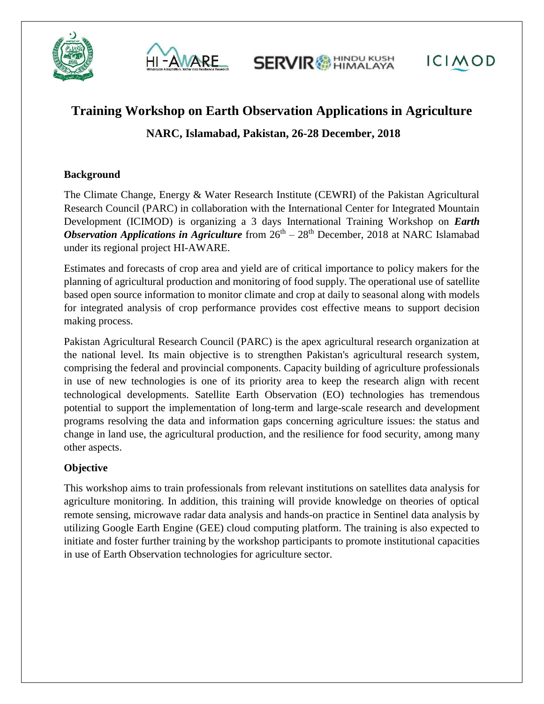



**SERVIR<sup>®</sup> HINDU KUSH** 

**ICIMOD** 

## **Training Workshop on Earth Observation Applications in Agriculture NARC, Islamabad, Pakistan, 26-28 December, 2018**

### **Background**

The Climate Change, Energy & Water Research Institute (CEWRI) of the Pakistan Agricultural Research Council (PARC) in collaboration with the International Center for Integrated Mountain Development (ICIMOD) is organizing a 3 days International Training Workshop on *Earth*  **Observation Applications in Agriculture** from  $26<sup>th</sup> - 28<sup>th</sup>$  December, 2018 at NARC Islamabad under its regional project HI-AWARE.

Estimates and forecasts of crop area and yield are of critical importance to policy makers for the planning of agricultural production and monitoring of food supply. The operational use of satellite based open source information to monitor climate and crop at daily to seasonal along with models for integrated analysis of crop performance provides cost effective means to support decision making process.

Pakistan Agricultural Research Council (PARC) is the apex agricultural research organization at the national level. Its main objective is to strengthen Pakistan's agricultural research system, comprising the federal and provincial components. Capacity building of agriculture professionals in use of new technologies is one of its priority area to keep the research align with recent technological developments. Satellite Earth Observation (EO) technologies has tremendous potential to support the implementation of long-term and large-scale research and development programs resolving the data and information gaps concerning agriculture issues: the status and change in land use, the agricultural production, and the resilience for food security, among many other aspects.

### **Objective**

This workshop aims to train professionals from relevant institutions on satellites data analysis for agriculture monitoring. In addition, this training will provide knowledge on theories of optical remote sensing, microwave radar data analysis and hands-on practice in Sentinel data analysis by utilizing Google Earth Engine (GEE) cloud computing platform. The training is also expected to initiate and foster further training by the workshop participants to promote institutional capacities in use of Earth Observation technologies for agriculture sector.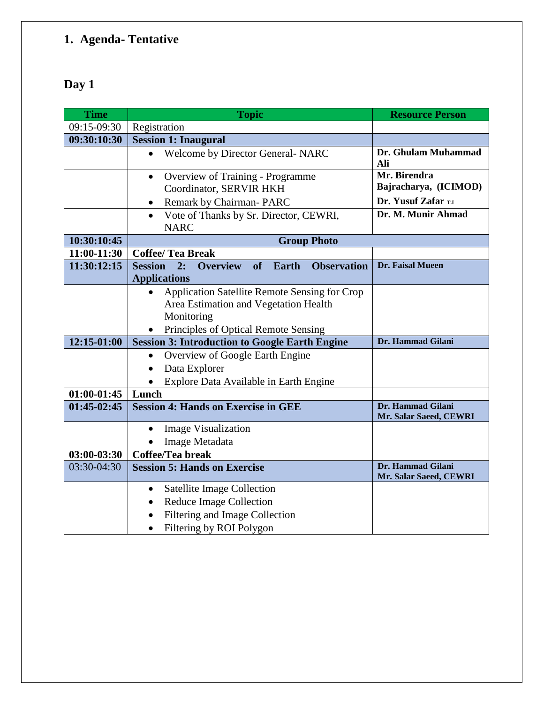## **1. Agenda- Tentative**

# **Day 1**

| <b>Time</b>                    | <b>Topic</b>                                                                        | <b>Resource Person</b> |
|--------------------------------|-------------------------------------------------------------------------------------|------------------------|
| 09:15-09:30                    | Registration                                                                        |                        |
| 09:30:10:30                    | <b>Session 1: Inaugural</b>                                                         |                        |
|                                | <b>Welcome by Director General-NARC</b><br>$\bullet$                                | Dr. Ghulam Muhammad    |
|                                |                                                                                     | Ali                    |
|                                | Overview of Training - Programme<br>$\bullet$                                       | Mr. Birendra           |
|                                | Coordinator, SERVIR HKH                                                             | Bajracharya, (ICIMOD)  |
|                                | Remark by Chairman-PARC<br>$\bullet$                                                | Dr. Yusuf Zafar T.I    |
|                                | Vote of Thanks by Sr. Director, CEWRI,<br>$\bullet$                                 | Dr. M. Munir Ahmad     |
|                                | <b>NARC</b>                                                                         |                        |
| 10:30:10:45                    | <b>Group Photo</b>                                                                  |                        |
| 11:00-11:30                    | <b>Coffee/Tea Break</b>                                                             |                        |
| 11:30:12:15                    | <b>Overview</b><br>Earth<br><b>Observation</b><br><b>Session</b><br>2:<br><b>of</b> | Dr. Faisal Mueen       |
|                                | <b>Applications</b>                                                                 |                        |
|                                | Application Satellite Remote Sensing for Crop<br>$\bullet$                          |                        |
|                                | Area Estimation and Vegetation Health                                               |                        |
|                                | Monitoring                                                                          |                        |
|                                | Principles of Optical Remote Sensing                                                | Dr. Hammad Gilani      |
| 12:15-01:00                    | <b>Session 3: Introduction to Google Earth Engine</b>                               |                        |
|                                | Overview of Google Earth Engine<br>$\bullet$                                        |                        |
|                                | Data Explorer<br>$\bullet$                                                          |                        |
|                                | Explore Data Available in Earth Engine<br>Lunch                                     |                        |
| $01:00-01:45$<br>$01:45-02:45$ | <b>Session 4: Hands on Exercise in GEE</b>                                          | Dr. Hammad Gilani      |
|                                |                                                                                     | Mr. Salar Saeed, CEWRI |
|                                | <b>Image Visualization</b><br>$\bullet$                                             |                        |
|                                | Image Metadata<br>$\bullet$                                                         |                        |
| 03:00-03:30                    | Coffee/Tea break                                                                    |                        |
| 03:30-04:30                    | <b>Session 5: Hands on Exercise</b>                                                 | Dr. Hammad Gilani      |
|                                |                                                                                     | Mr. Salar Saeed, CEWRI |
|                                | <b>Satellite Image Collection</b><br>$\bullet$                                      |                        |
|                                | <b>Reduce Image Collection</b><br>$\bullet$                                         |                        |
|                                | Filtering and Image Collection                                                      |                        |
|                                | Filtering by ROI Polygon<br>$\bullet$                                               |                        |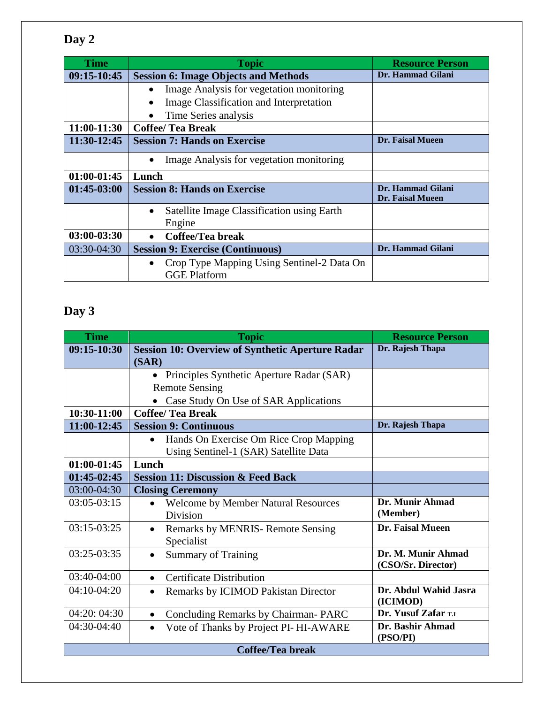## **Day 2**

| Time          | <b>Topic</b>                                                                   | <b>Resource Person</b>                |
|---------------|--------------------------------------------------------------------------------|---------------------------------------|
| 09:15-10:45   | <b>Session 6: Image Objects and Methods</b>                                    | Dr. Hammad Gilani                     |
|               | Image Analysis for vegetation monitoring<br>$\bullet$                          |                                       |
|               | Image Classification and Interpretation<br>$\bullet$                           |                                       |
|               | Time Series analysis                                                           |                                       |
| 11:00-11:30   | <b>Coffee/Tea Break</b>                                                        |                                       |
| 11:30-12:45   | <b>Session 7: Hands on Exercise</b>                                            | <b>Dr. Faisal Mueen</b>               |
|               | Image Analysis for vegetation monitoring<br>$\bullet$                          |                                       |
| $01:00-01:45$ | Lunch                                                                          |                                       |
| $01:45-03:00$ | <b>Session 8: Hands on Exercise</b>                                            | Dr. Hammad Gilani<br>Dr. Faisal Mueen |
|               | Satellite Image Classification using Earth<br>$\bullet$<br>Engine              |                                       |
| 03:00-03:30   | Coffee/Tea break<br>$\bullet$                                                  |                                       |
| 03:30-04:30   | <b>Session 9: Exercise (Continuous)</b>                                        | Dr. Hammad Gilani                     |
|               | Crop Type Mapping Using Sentinel-2 Data On<br>$\bullet$<br><b>GGE Platform</b> |                                       |

## **Day 3**

| <b>Time</b>      | <b>Topic</b>                                                                                 | <b>Resource Person</b>                   |  |
|------------------|----------------------------------------------------------------------------------------------|------------------------------------------|--|
| 09:15-10:30      | <b>Session 10: Overview of Synthetic Aperture Radar</b>                                      | Dr. Rajesh Thapa                         |  |
|                  | (SAR)                                                                                        |                                          |  |
|                  | Principles Synthetic Aperture Radar (SAR)                                                    |                                          |  |
|                  | <b>Remote Sensing</b>                                                                        |                                          |  |
|                  | Case Study On Use of SAR Applications                                                        |                                          |  |
| 10:30-11:00      | <b>Coffee/Tea Break</b>                                                                      |                                          |  |
| 11:00-12:45      | <b>Session 9: Continuous</b>                                                                 | Dr. Rajesh Thapa                         |  |
|                  | Hands On Exercise Om Rice Crop Mapping<br>$\bullet$<br>Using Sentinel-1 (SAR) Satellite Data |                                          |  |
| $01:00-01:45$    | Lunch                                                                                        |                                          |  |
| $01:45-02:45$    | <b>Session 11: Discussion &amp; Feed Back</b>                                                |                                          |  |
| 03:00-04:30      | <b>Closing Ceremony</b>                                                                      |                                          |  |
| $03:05-03:15$    | <b>Welcome by Member Natural Resources</b><br>$\bullet$                                      | Dr. Munir Ahmad                          |  |
|                  | Division                                                                                     | (Member)                                 |  |
| 03:15-03:25      | <b>Remarks by MENRIS- Remote Sensing</b><br>$\bullet$<br>Specialist                          | Dr. Faisal Mueen                         |  |
| 03:25-03:35      | <b>Summary of Training</b><br>$\bullet$                                                      | Dr. M. Munir Ahmad<br>(CSO/Sr. Director) |  |
| 03:40-04:00      | <b>Certificate Distribution</b><br>$\bullet$                                                 |                                          |  |
| 04:10-04:20      | Remarks by ICIMOD Pakistan Director<br>$\bullet$                                             | Dr. Abdul Wahid Jasra<br>(ICIMOD)        |  |
| 04:20: 04:30     | Concluding Remarks by Chairman-PARC<br>$\bullet$                                             | Dr. Yusuf Zafar T.I                      |  |
| 04:30-04:40      | Vote of Thanks by Project PI-HI-AWARE<br>$\bullet$                                           | Dr. Bashir Ahmad<br>(PSO/PI)             |  |
| Coffee/Tea break |                                                                                              |                                          |  |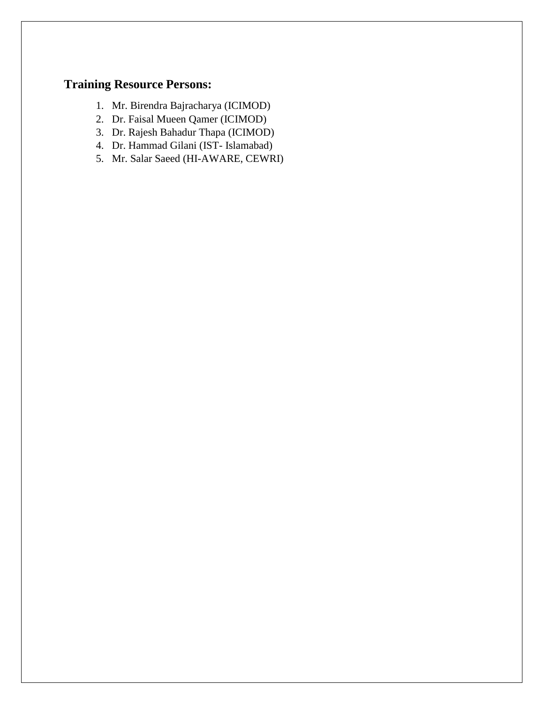### **Training Resource Persons:**

- 1. Mr. Birendra Bajracharya (ICIMOD)
- 2. Dr. Faisal Mueen Qamer (ICIMOD)
- 3. Dr. Rajesh Bahadur Thapa (ICIMOD)
- 4. Dr. Hammad Gilani (IST- Islamabad)
- 5. Mr. Salar Saeed (HI-AWARE, CEWRI)